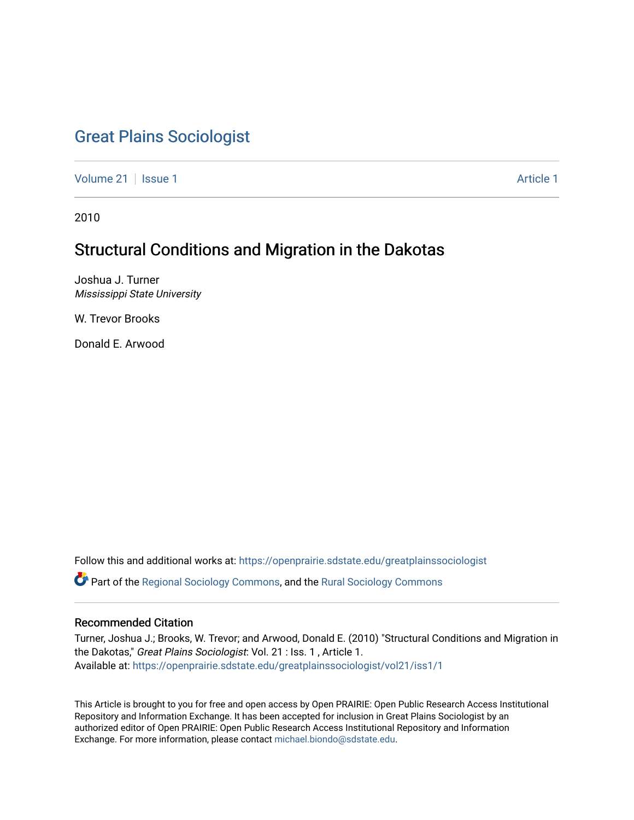# [Great Plains Sociologist](https://openprairie.sdstate.edu/greatplainssociologist)

[Volume 21](https://openprairie.sdstate.edu/greatplainssociologist/vol21) | [Issue 1](https://openprairie.sdstate.edu/greatplainssociologist/vol21/iss1) Article 1

2010

# Structural Conditions and Migration in the Dakotas

Joshua J. Turner Mississippi State University

W. Trevor Brooks

Donald E. Arwood

Follow this and additional works at: [https://openprairie.sdstate.edu/greatplainssociologist](https://openprairie.sdstate.edu/greatplainssociologist?utm_source=openprairie.sdstate.edu%2Fgreatplainssociologist%2Fvol21%2Fiss1%2F1&utm_medium=PDF&utm_campaign=PDFCoverPages) 

Part of the [Regional Sociology Commons](http://network.bepress.com/hgg/discipline/427?utm_source=openprairie.sdstate.edu%2Fgreatplainssociologist%2Fvol21%2Fiss1%2F1&utm_medium=PDF&utm_campaign=PDFCoverPages), and the [Rural Sociology Commons](http://network.bepress.com/hgg/discipline/428?utm_source=openprairie.sdstate.edu%2Fgreatplainssociologist%2Fvol21%2Fiss1%2F1&utm_medium=PDF&utm_campaign=PDFCoverPages) 

# Recommended Citation

Turner, Joshua J.; Brooks, W. Trevor; and Arwood, Donald E. (2010) "Structural Conditions and Migration in the Dakotas," Great Plains Sociologist: Vol. 21 : Iss. 1, Article 1. Available at: [https://openprairie.sdstate.edu/greatplainssociologist/vol21/iss1/1](https://openprairie.sdstate.edu/greatplainssociologist/vol21/iss1/1?utm_source=openprairie.sdstate.edu%2Fgreatplainssociologist%2Fvol21%2Fiss1%2F1&utm_medium=PDF&utm_campaign=PDFCoverPages)

This Article is brought to you for free and open access by Open PRAIRIE: Open Public Research Access Institutional Repository and Information Exchange. It has been accepted for inclusion in Great Plains Sociologist by an authorized editor of Open PRAIRIE: Open Public Research Access Institutional Repository and Information Exchange. For more information, please contact [michael.biondo@sdstate.edu.](mailto:michael.biondo@sdstate.edu)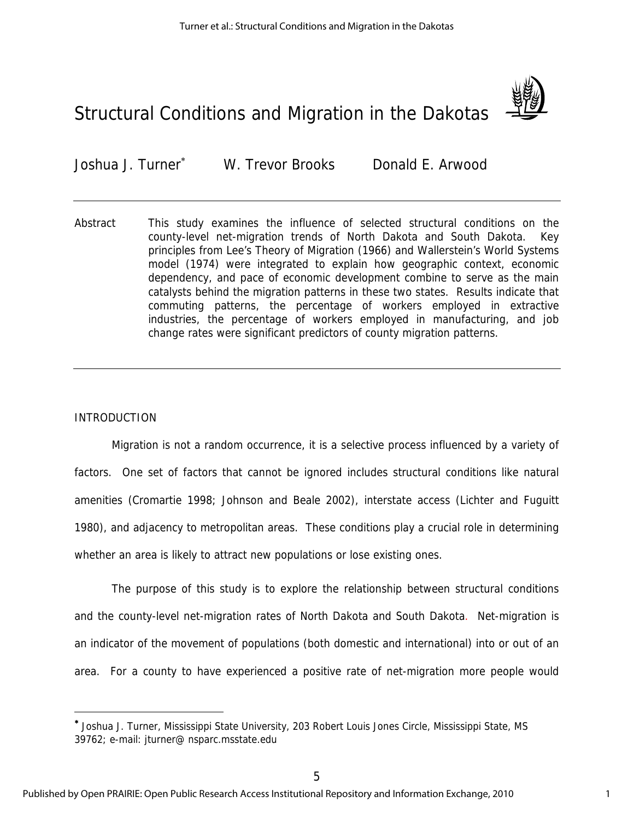# Structural Conditions and Migration in the Dakotas



Joshua J. Turner W. Trevor Brooks Donald E. Arwood

Abstract This study examines the influence of selected structural conditions on the county-level net-migration trends of North Dakota and South Dakota. Key principles from Lee's Theory of Migration (1966) and Wallerstein's World Systems model (1974) were integrated to explain how geographic context, economic dependency, and pace of economic development combine to serve as the main catalysts behind the migration patterns in these two states. Results indicate that commuting patterns, the percentage of workers employed in extractive industries, the percentage of workers employed in manufacturing, and job change rates were significant predictors of county migration patterns.

## INTRODUCTION

 $\overline{a}$ 

Migration is not a random occurrence, it is a selective process influenced by a variety of factors. One set of factors that cannot be ignored includes structural conditions like natural amenities (Cromartie 1998; Johnson and Beale 2002), interstate access (Lichter and Fuguitt 1980), and adjacency to metropolitan areas. These conditions play a crucial role in determining whether an area is likely to attract new populations or lose existing ones.

The purpose of this study is to explore the relationship between structural conditions and the county-level net-migration rates of North Dakota and South Dakota. Net-migration is an indicator of the movement of populations (both domestic and international) into or out of an area. For a county to have experienced a positive rate of net-migration more people would

Joshua J. Turner, Mississippi State University, 203 Robert Louis Jones Circle, Mississippi State, MS 39762; e-mail: jturner@ nsparc.msstate.edu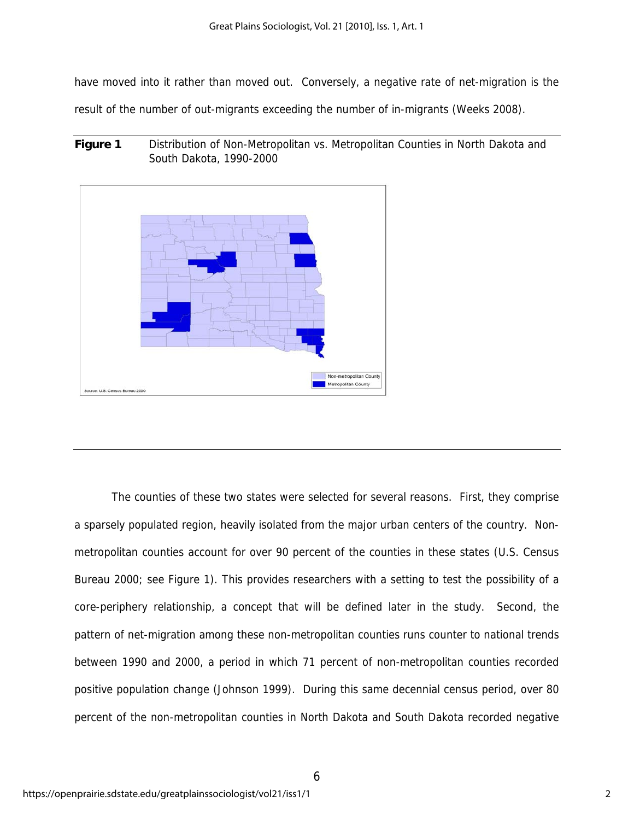have moved into it rather than moved out. Conversely, a negative rate of net-migration is the

result of the number of out-migrants exceeding the number of in-migrants (Weeks 2008).

**Figure 1** Distribution of Non-Metropolitan vs. Metropolitan Counties in North Dakota and South Dakota, 1990-2000



The counties of these two states were selected for several reasons. First, they comprise a sparsely populated region, heavily isolated from the major urban centers of the country. Nonmetropolitan counties account for over 90 percent of the counties in these states (U.S. Census Bureau 2000; see Figure 1). This provides researchers with a setting to test the possibility of a core-periphery relationship, a concept that will be defined later in the study. Second, the pattern of net-migration among these non-metropolitan counties runs counter to national trends between 1990 and 2000, a period in which 71 percent of non-metropolitan counties recorded positive population change (Johnson 1999). During this same decennial census period, over 80 percent of the non-metropolitan counties in North Dakota and South Dakota recorded negative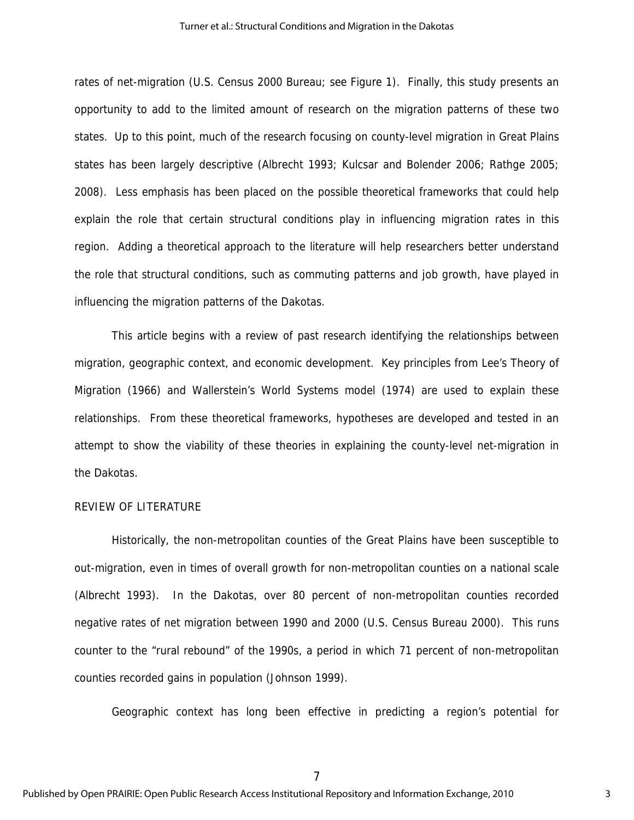rates of net-migration (U.S. Census 2000 Bureau; see Figure 1). Finally, this study presents an opportunity to add to the limited amount of research on the migration patterns of these two states. Up to this point, much of the research focusing on county-level migration in Great Plains states has been largely descriptive (Albrecht 1993; Kulcsar and Bolender 2006; Rathge 2005; 2008). Less emphasis has been placed on the possible theoretical frameworks that could help explain the role that certain structural conditions play in influencing migration rates in this region. Adding a theoretical approach to the literature will help researchers better understand the role that structural conditions, such as commuting patterns and job growth, have played in influencing the migration patterns of the Dakotas.

This article begins with a review of past research identifying the relationships between migration, geographic context, and economic development. Key principles from Lee's Theory of Migration (1966) and Wallerstein's World Systems model (1974) are used to explain these relationships. From these theoretical frameworks, hypotheses are developed and tested in an attempt to show the viability of these theories in explaining the county-level net-migration in the Dakotas.

# REVIEW OF LITERATURE

Historically, the non-metropolitan counties of the Great Plains have been susceptible to out-migration, even in times of overall growth for non-metropolitan counties on a national scale (Albrecht 1993). In the Dakotas, over 80 percent of non-metropolitan counties recorded negative rates of net migration between 1990 and 2000 (U.S. Census Bureau 2000). This runs counter to the "rural rebound" of the 1990s, a period in which 71 percent of non-metropolitan counties recorded gains in population (Johnson 1999).

Geographic context has long been effective in predicting a region's potential for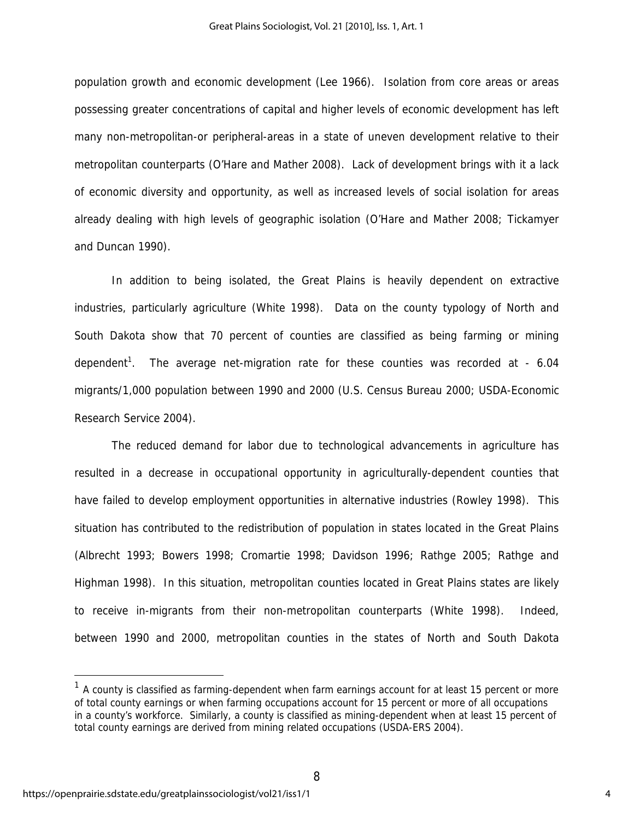population growth and economic development (Lee 1966). Isolation from core areas or areas possessing greater concentrations of capital and higher levels of economic development has left many non-metropolitan-or peripheral-areas in a state of uneven development relative to their metropolitan counterparts (O'Hare and Mather 2008). Lack of development brings with it a lack of economic diversity and opportunity, as well as increased levels of social isolation for areas already dealing with high levels of geographic isolation (O'Hare and Mather 2008; Tickamyer and Duncan 1990).

In addition to being isolated, the Great Plains is heavily dependent on extractive industries, particularly agriculture (White 1998). Data on the county typology of North and South Dakota show that 70 percent of counties are classified as being farming or mining dependent<sup>1</sup>. The average net-migration rate for these counties was recorded at - 6.04 migrants/1,000 population between 1990 and 2000 (U.S. Census Bureau 2000; USDA-Economic Research Service 2004).

The reduced demand for labor due to technological advancements in agriculture has resulted in a decrease in occupational opportunity in agriculturally-dependent counties that have failed to develop employment opportunities in alternative industries (Rowley 1998). This situation has contributed to the redistribution of population in states located in the Great Plains (Albrecht 1993; Bowers 1998; Cromartie 1998; Davidson 1996; Rathge 2005; Rathge and Highman 1998). In this situation, metropolitan counties located in Great Plains states are likely to receive in-migrants from their non-metropolitan counterparts (White 1998). Indeed, between 1990 and 2000, metropolitan counties in the states of North and South Dakota

 $\overline{a}$ 

 $1$  A county is classified as farming-dependent when farm earnings account for at least 15 percent or more of total county earnings or when farming occupations account for 15 percent or more of all occupations in a county's workforce. Similarly, a county is classified as mining-dependent when at least 15 percent of total county earnings are derived from mining related occupations (USDA-ERS 2004).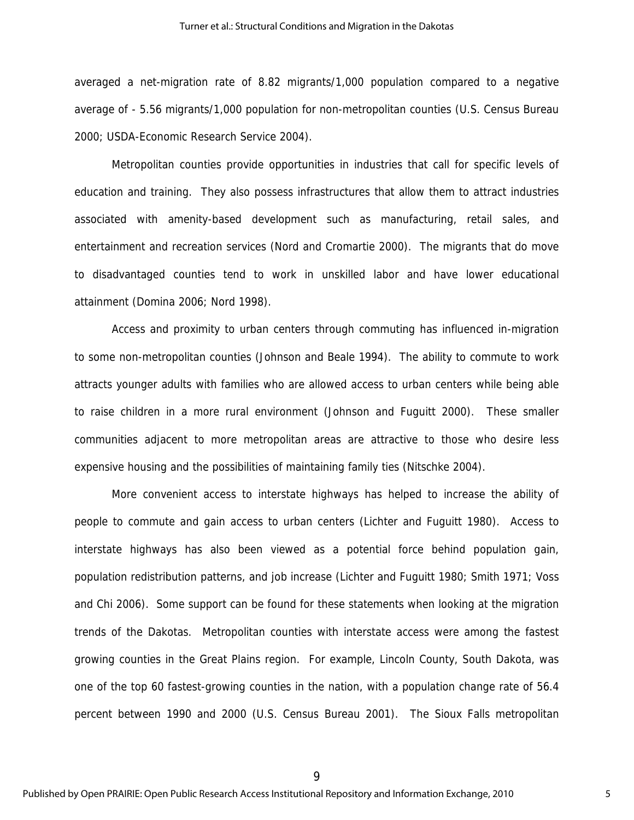averaged a net-migration rate of 8.82 migrants/1,000 population compared to a negative average of - 5.56 migrants/1,000 population for non-metropolitan counties (U.S. Census Bureau 2000; USDA-Economic Research Service 2004).

Metropolitan counties provide opportunities in industries that call for specific levels of education and training. They also possess infrastructures that allow them to attract industries associated with amenity-based development such as manufacturing, retail sales, and entertainment and recreation services (Nord and Cromartie 2000). The migrants that do move to disadvantaged counties tend to work in unskilled labor and have lower educational attainment (Domina 2006; Nord 1998).

Access and proximity to urban centers through commuting has influenced in-migration to some non-metropolitan counties (Johnson and Beale 1994). The ability to commute to work attracts younger adults with families who are allowed access to urban centers while being able to raise children in a more rural environment (Johnson and Fuguitt 2000). These smaller communities adjacent to more metropolitan areas are attractive to those who desire less expensive housing and the possibilities of maintaining family ties (Nitschke 2004).

More convenient access to interstate highways has helped to increase the ability of people to commute and gain access to urban centers (Lichter and Fuguitt 1980). Access to interstate highways has also been viewed as a potential force behind population gain, population redistribution patterns, and job increase (Lichter and Fuguitt 1980; Smith 1971; Voss and Chi 2006). Some support can be found for these statements when looking at the migration trends of the Dakotas. Metropolitan counties with interstate access were among the fastest growing counties in the Great Plains region. For example, Lincoln County, South Dakota, was one of the top 60 fastest-growing counties in the nation, with a population change rate of 56.4 percent between 1990 and 2000 (U.S. Census Bureau 2001). The Sioux Falls metropolitan

9

Published by Open PRAIRIE: Open Public Research Access Institutional Repository and Information Exchange, 2010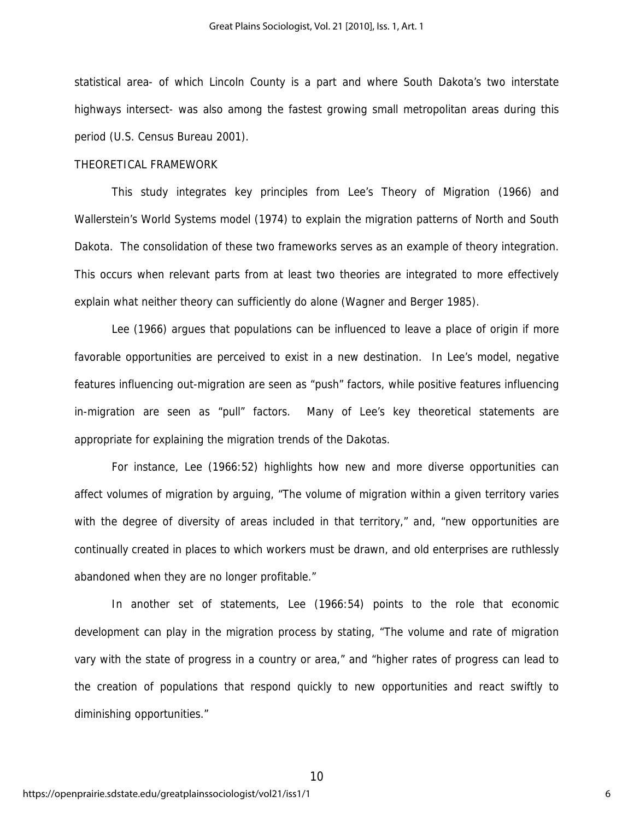statistical area- of which Lincoln County is a part and where South Dakota's two interstate highways intersect- was also among the fastest growing small metropolitan areas during this period (U.S. Census Bureau 2001).

#### THEORETICAL FRAMEWORK

This study integrates key principles from Lee's Theory of Migration (1966) and Wallerstein's World Systems model (1974) to explain the migration patterns of North and South Dakota. The consolidation of these two frameworks serves as an example of theory integration. This occurs when relevant parts from at least two theories are integrated to more effectively explain what neither theory can sufficiently do alone (Wagner and Berger 1985).

Lee (1966) argues that populations can be influenced to leave a place of origin if more favorable opportunities are perceived to exist in a new destination. In Lee's model, negative features influencing out-migration are seen as "push" factors, while positive features influencing in-migration are seen as "pull" factors. Many of Lee's key theoretical statements are appropriate for explaining the migration trends of the Dakotas.

For instance, Lee (1966:52) highlights how new and more diverse opportunities can affect volumes of migration by arguing, "The volume of migration within a given territory varies with the degree of diversity of areas included in that territory," and, "new opportunities are continually created in places to which workers must be drawn, and old enterprises are ruthlessly abandoned when they are no longer profitable."

In another set of statements, Lee (1966:54) points to the role that economic development can play in the migration process by stating, "The volume and rate of migration vary with the state of progress in a country or area," and "higher rates of progress can lead to the creation of populations that respond quickly to new opportunities and react swiftly to diminishing opportunities."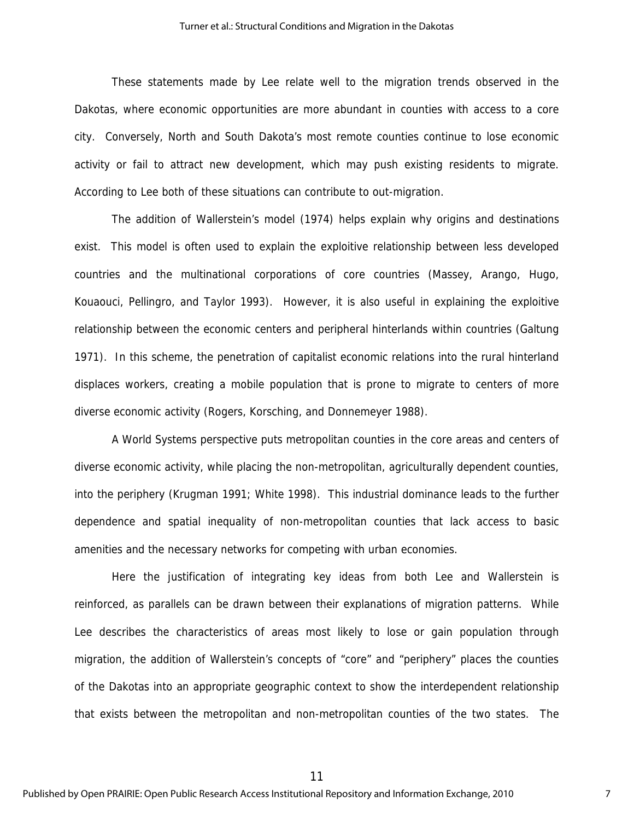These statements made by Lee relate well to the migration trends observed in the Dakotas, where economic opportunities are more abundant in counties with access to a core city. Conversely, North and South Dakota's most remote counties continue to lose economic activity or fail to attract new development, which may push existing residents to migrate. According to Lee both of these situations can contribute to out-migration.

The addition of Wallerstein's model (1974) helps explain why origins and destinations exist. This model is often used to explain the exploitive relationship between less developed countries and the multinational corporations of core countries (Massey, Arango, Hugo, Kouaouci, Pellingro, and Taylor 1993). However, it is also useful in explaining the exploitive relationship between the economic centers and peripheral hinterlands within countries (Galtung 1971). In this scheme, the penetration of capitalist economic relations into the rural hinterland displaces workers, creating a mobile population that is prone to migrate to centers of more diverse economic activity (Rogers, Korsching, and Donnemeyer 1988).

A World Systems perspective puts metropolitan counties in the core areas and centers of diverse economic activity, while placing the non-metropolitan, agriculturally dependent counties, into the periphery (Krugman 1991; White 1998). This industrial dominance leads to the further dependence and spatial inequality of non-metropolitan counties that lack access to basic amenities and the necessary networks for competing with urban economies.

Here the justification of integrating key ideas from both Lee and Wallerstein is reinforced, as parallels can be drawn between their explanations of migration patterns. While Lee describes the characteristics of areas most likely to lose or gain population through migration, the addition of Wallerstein's concepts of "core" and "periphery" places the counties of the Dakotas into an appropriate geographic context to show the interdependent relationship that exists between the metropolitan and non-metropolitan counties of the two states. The

11

Published by Open PRAIRIE: Open Public Research Access Institutional Repository and Information Exchange, 2010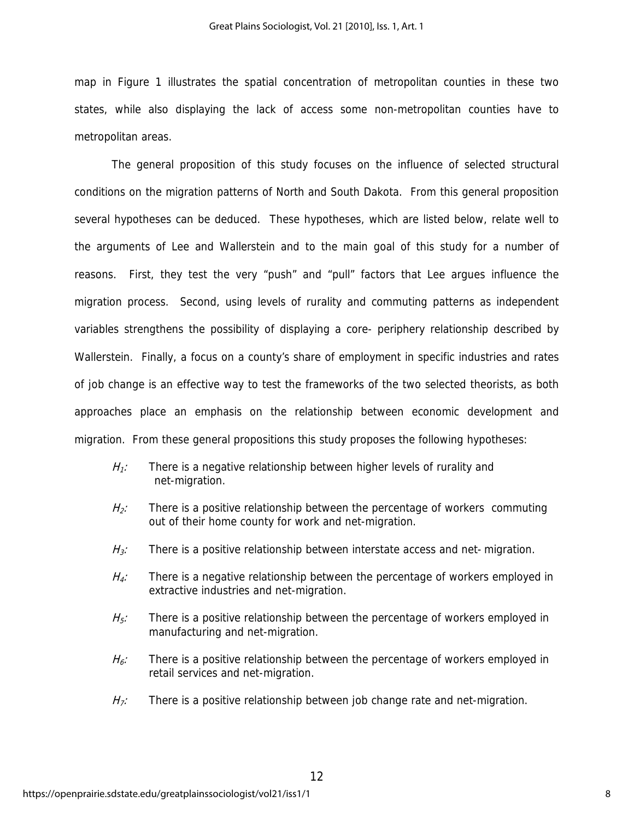map in Figure 1 illustrates the spatial concentration of metropolitan counties in these two states, while also displaying the lack of access some non-metropolitan counties have to metropolitan areas.

 The general proposition of this study focuses on the influence of selected structural conditions on the migration patterns of North and South Dakota. From this general proposition several hypotheses can be deduced. These hypotheses, which are listed below, relate well to the arguments of Lee and Wallerstein and to the main goal of this study for a number of reasons. First, they test the very "push" and "pull" factors that Lee argues influence the migration process. Second, using levels of rurality and commuting patterns as independent variables strengthens the possibility of displaying a core- periphery relationship described by Wallerstein. Finally, a focus on a county's share of employment in specific industries and rates of job change is an effective way to test the frameworks of the two selected theorists, as both approaches place an emphasis on the relationship between economic development and migration. From these general propositions this study proposes the following hypotheses:

- $H_1$ : There is a negative relationship between higher levels of rurality and net-migration.
- $H_2$ : There is a positive relationship between the percentage of workers commuting out of their home county for work and net-migration.
- $H_3$ : There is a positive relationship between interstate access and net-migration.
- $H_d$ : There is a negative relationship between the percentage of workers employed in extractive industries and net-migration.
- $H<sub>5</sub>$ : There is a positive relationship between the percentage of workers employed in manufacturing and net-migration.
- $H<sub>6</sub>$ : There is a positive relationship between the percentage of workers employed in retail services and net-migration.
- $H_7$ : There is a positive relationship between job change rate and net-migration.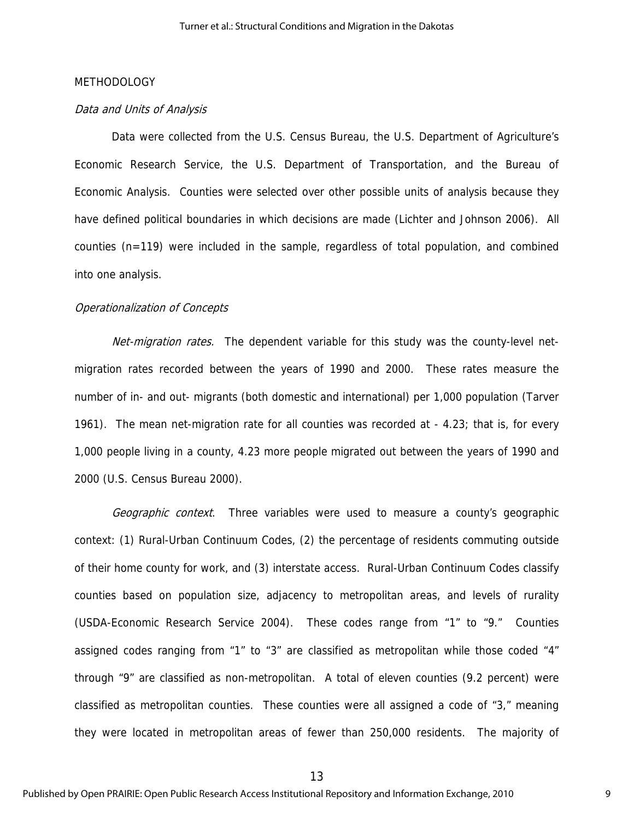#### METHODOLOGY

#### Data and Units of Analysis

Data were collected from the U.S. Census Bureau, the U.S. Department of Agriculture's Economic Research Service, the U.S. Department of Transportation, and the Bureau of Economic Analysis. Counties were selected over other possible units of analysis because they have defined political boundaries in which decisions are made (Lichter and Johnson 2006). All counties (n=119) were included in the sample, regardless of total population, and combined into one analysis.

#### Operationalization of Concepts

Net-migration rates. The dependent variable for this study was the county-level netmigration rates recorded between the years of 1990 and 2000. These rates measure the number of in- and out- migrants (both domestic and international) per 1,000 population (Tarver 1961). The mean net-migration rate for all counties was recorded at - 4.23; that is, for every 1,000 people living in a county, 4.23 more people migrated out between the years of 1990 and 2000 (U.S. Census Bureau 2000).

Geographic context. Three variables were used to measure a county's geographic context: (1) Rural-Urban Continuum Codes, (2) the percentage of residents commuting outside of their home county for work, and (3) interstate access. Rural-Urban Continuum Codes classify counties based on population size, adjacency to metropolitan areas, and levels of rurality (USDA-Economic Research Service 2004). These codes range from "1" to "9." Counties assigned codes ranging from "1" to "3" are classified as metropolitan while those coded "4" through "9" are classified as non-metropolitan. A total of eleven counties (9.2 percent) were classified as metropolitan counties. These counties were all assigned a code of "3," meaning they were located in metropolitan areas of fewer than 250,000 residents. The majority of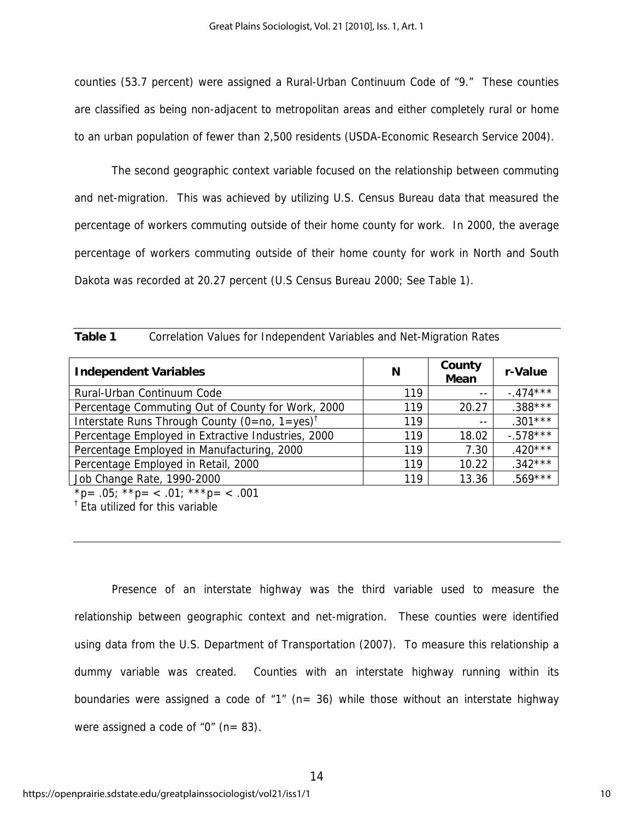counties (53.7 percent) were assigned a Rural-Urban Continuum Code of "9." These counties are classified as being non-adjacent to metropolitan areas and either completely rural or home to an urban population of fewer than 2,500 residents (USDA-Economic Research Service 2004).

 The second geographic context variable focused on the relationship between commuting and net-migration. This was achieved by utilizing U.S. Census Bureau data that measured the percentage of workers commuting outside of their home county for work. In 2000, the average percentage of workers commuting outside of their home county for work in North and South Dakota was recorded at 20.27 percent (U.S Census Bureau 2000; See Table 1).

| <b>Independent Variables</b>                              | N   | County<br><b>Mean</b> | r-Value    |
|-----------------------------------------------------------|-----|-----------------------|------------|
| Rural-Urban Continuum Code                                | 119 | $- -$                 | $-474***$  |
| Percentage Commuting Out of County for Work, 2000         | 119 | 20.27                 | $.388***$  |
| Interstate Runs Through County (0=no, 1=yes) <sup>†</sup> | 119 | $- -$                 | $.301***$  |
| Percentage Employed in Extractive Industries, 2000        | 119 | 18.02                 | $-.578***$ |
| Percentage Employed in Manufacturing, 2000                | 119 | 7.30                  | $.420***$  |
| Percentage Employed in Retail, 2000                       | 119 | 10.22                 | $.342***$  |
| Job Change Rate, 1990-2000                                | 119 | 13.36                 | $.569***$  |

| Table 1<br>Correlation Values for Independent Variables and Net-Migration Rates |
|---------------------------------------------------------------------------------|
|---------------------------------------------------------------------------------|

\*p= .05; \*\*p= < .01; \*\*\*p= < .001

<sup>†</sup> Eta utilized for this variable

 Presence of an interstate highway was the third variable used to measure the relationship between geographic context and net-migration. These counties were identified using data from the U.S. Department of Transportation (2007). To measure this relationship a dummy variable was created. Counties with an interstate highway running within its boundaries were assigned a code of "1" ( $n=$  36) while those without an interstate highway were assigned a code of " $0$ " (n= 83).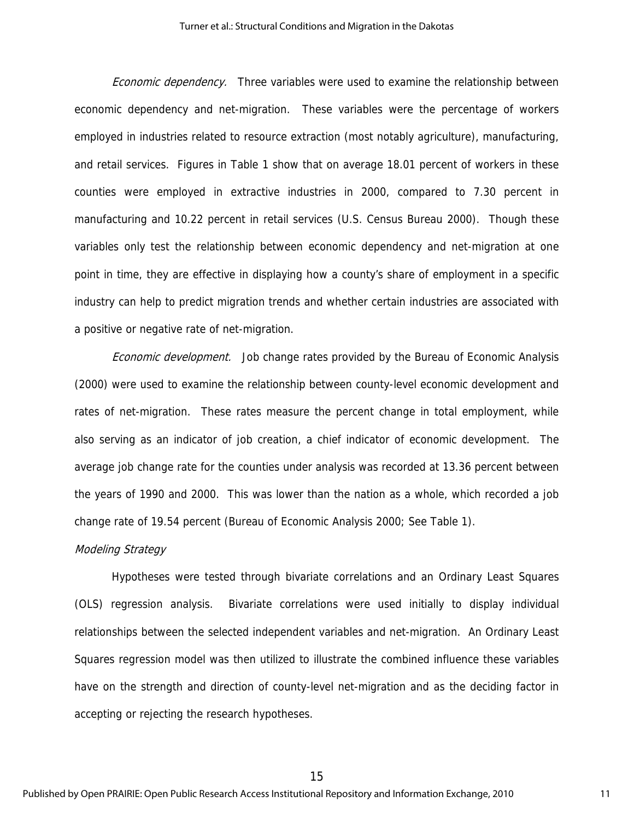Economic dependency.Three variables were used to examine the relationship between economic dependency and net-migration. These variables were the percentage of workers employed in industries related to resource extraction (most notably agriculture), manufacturing, and retail services. Figures in Table 1 show that on average 18.01 percent of workers in these counties were employed in extractive industries in 2000, compared to 7.30 percent in manufacturing and 10.22 percent in retail services (U.S. Census Bureau 2000). Though these variables only test the relationship between economic dependency and net-migration at one point in time, they are effective in displaying how a county's share of employment in a specific industry can help to predict migration trends and whether certain industries are associated with a positive or negative rate of net-migration.

 Economic development.Job change rates provided by the Bureau of Economic Analysis (2000) were used to examine the relationship between county-level economic development and rates of net-migration. These rates measure the percent change in total employment, while also serving as an indicator of job creation, a chief indicator of economic development. The average job change rate for the counties under analysis was recorded at 13.36 percent between the years of 1990 and 2000. This was lower than the nation as a whole, which recorded a job change rate of 19.54 percent (Bureau of Economic Analysis 2000; See Table 1).

#### Modeling Strategy

Hypotheses were tested through bivariate correlations and an Ordinary Least Squares (OLS) regression analysis. Bivariate correlations were used initially to display individual relationships between the selected independent variables and net-migration. An Ordinary Least Squares regression model was then utilized to illustrate the combined influence these variables have on the strength and direction of county-level net-migration and as the deciding factor in accepting or rejecting the research hypotheses.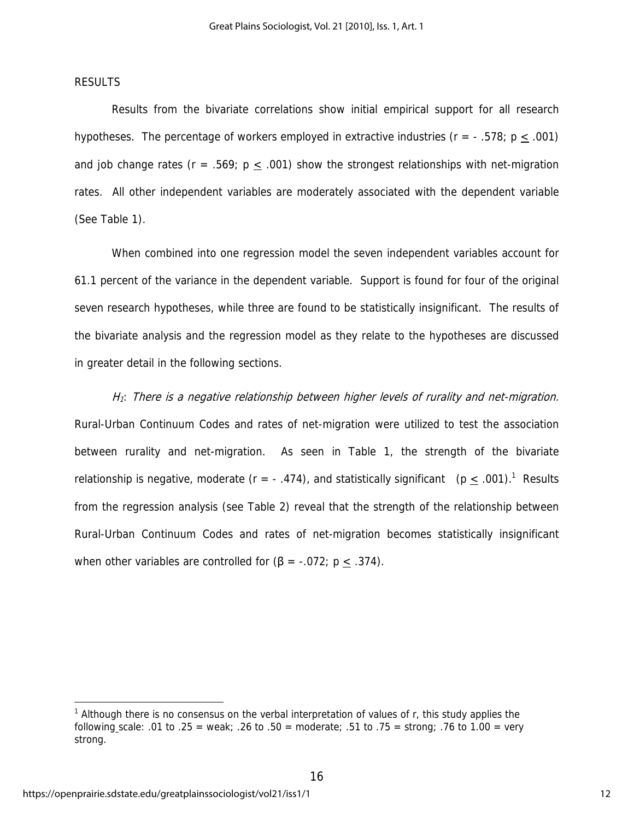### RESULTS

Results from the bivariate correlations show initial empirical support for all research hypotheses. The percentage of workers employed in extractive industries ( $r = -0.578$ ; p  $\leq 0.001$ ) and job change rates ( $r = .569$ ;  $p \le .001$ ) show the strongest relationships with net-migration rates. All other independent variables are moderately associated with the dependent variable (See Table 1).

When combined into one regression model the seven independent variables account for 61.1 percent of the variance in the dependent variable. Support is found for four of the original seven research hypotheses, while three are found to be statistically insignificant. The results of the bivariate analysis and the regression model as they relate to the hypotheses are discussed in greater detail in the following sections.

H<sub>1</sub>: There is a negative relationship between higher levels of rurality and net-migration. Rural-Urban Continuum Codes and rates of net-migration were utilized to test the association between rurality and net-migration. As seen in Table 1, the strength of the bivariate relationship is negative, moderate ( $r = -0.474$ ), and statistically significant ( $p \le 0.001$ ).<sup>1</sup> Results from the regression analysis (see Table 2) reveal that the strength of the relationship between Rural-Urban Continuum Codes and rates of net-migration becomes statistically insignificant when other variables are controlled for  $(β = -.072; p ≤ .374)$ .

 $\overline{a}$ 

<sup>&</sup>lt;sup>1</sup> Although there is no consensus on the verbal interpretation of values of r, this study applies the following scale: .01 to .25 = weak; .26 to .50 = moderate; .51 to .75 = strong; .76 to 1.00 = very strong.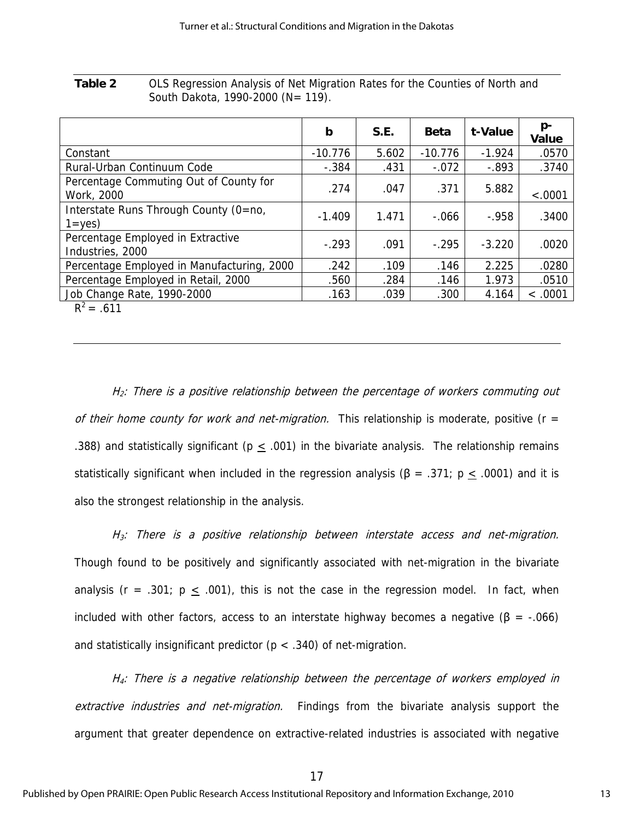**Table 2** OLS Regression Analysis of Net Migration Rates for the Counties of North and South Dakota, 1990-2000 (N= 119).

|                                                       | b         | S.E.  | <b>Beta</b> | t-Value  | p-<br>Value |
|-------------------------------------------------------|-----------|-------|-------------|----------|-------------|
| Constant                                              | $-10.776$ | 5.602 | $-10.776$   | $-1.924$ | .0570       |
| Rural-Urban Continuum Code                            | $-.384$   | .431  | $-.072$     | $-.893$  | .3740       |
| Percentage Commuting Out of County for<br>Work, 2000  | .274      | .047  | .371        | 5.882    | $-.0001$    |
| Interstate Runs Through County (0=no,<br>$1 = yes$    | $-1.409$  | 1.471 | $-.066$     | $-0.958$ | .3400       |
| Percentage Employed in Extractive<br>Industries, 2000 | $-.293$   | .091  | $-295$      | $-3.220$ | .0020       |
| Percentage Employed in Manufacturing, 2000            | .242      | .109  | .146        | 2.225    | .0280       |
| Percentage Employed in Retail, 2000                   | .560      | .284  | .146        | 1.973    | .0510       |
| Job Change Rate, 1990-2000                            | .163      | .039  | .300        | 4.164    | < .0001     |
| $R^2 = .611$                                          |           |       |             |          |             |

 $H_2$ : There is a positive relationship between the percentage of workers commuting out of their home county for work and net-migration. This relationship is moderate, positive ( $r =$ .388) and statistically significant ( $p < .001$ ) in the bivariate analysis. The relationship remains statistically significant when included in the regression analysis (β = .371; p  $\leq$  .0001) and it is also the strongest relationship in the analysis.

 $H_3$ : There is a positive relationship between interstate access and net-migration. Though found to be positively and significantly associated with net-migration in the bivariate analysis (r = .301;  $p \leq .001$ ), this is not the case in the regression model. In fact, when included with other factors, access to an interstate highway becomes a negative ( $\beta$  = -.066) and statistically insignificant predictor ( $p < .340$ ) of net-migration.

 $H<sub>4</sub>$ : There is a negative relationship between the percentage of workers employed in extractive industries and net-migration. Findings from the bivariate analysis support the argument that greater dependence on extractive-related industries is associated with negative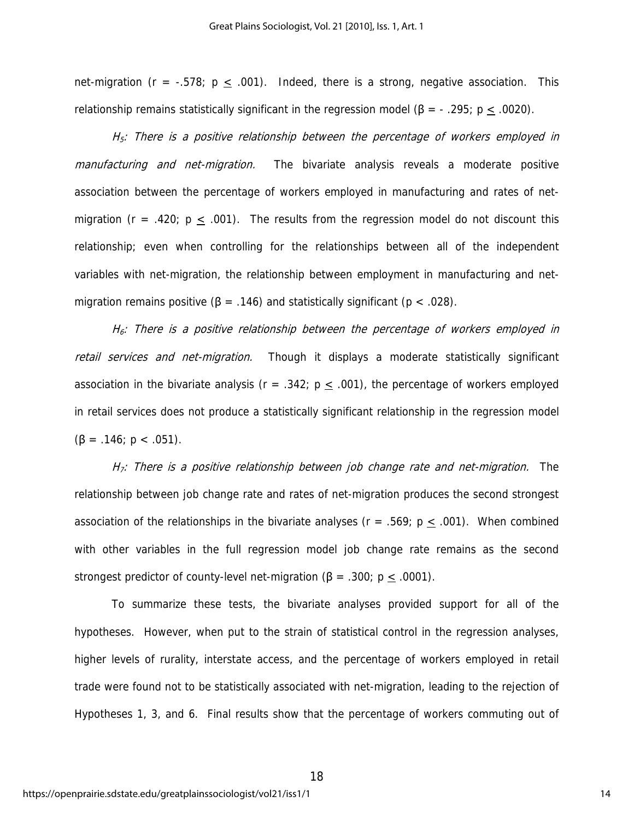net-migration ( $r = -.578$ ;  $p \le .001$ ). Indeed, there is a strong, negative association. This relationship remains statistically significant in the regression model ( $\beta$  = -.295; p < .0020).

 $H<sub>5</sub>$ : There is a positive relationship between the percentage of workers employed in manufacturing and net-migration. The bivariate analysis reveals a moderate positive association between the percentage of workers employed in manufacturing and rates of netmigration ( $r = .420$ ;  $p < .001$ ). The results from the regression model do not discount this relationship; even when controlling for the relationships between all of the independent variables with net-migration, the relationship between employment in manufacturing and netmigration remains positive ( $\beta$  = .146) and statistically significant ( $p < .028$ ).

 $H_6$ : There is a positive relationship between the percentage of workers employed in retail services and net-migration. Though it displays a moderate statistically significant association in the bivariate analysis ( $r = .342$ ;  $p \le .001$ ), the percentage of workers employed in retail services does not produce a statistically significant relationship in the regression model  $(\beta = .146; p < .051)$ .

 $H_7$ : There is a positive relationship between job change rate and net-migration. The relationship between job change rate and rates of net-migration produces the second strongest association of the relationships in the bivariate analyses ( $r = .569$ ;  $p \le .001$ ). When combined with other variables in the full regression model job change rate remains as the second strongest predictor of county-level net-migration ( $\beta$  = .300; p < .0001).

To summarize these tests, the bivariate analyses provided support for all of the hypotheses. However, when put to the strain of statistical control in the regression analyses, higher levels of rurality, interstate access, and the percentage of workers employed in retail trade were found not to be statistically associated with net-migration, leading to the rejection of Hypotheses 1, 3, and 6. Final results show that the percentage of workers commuting out of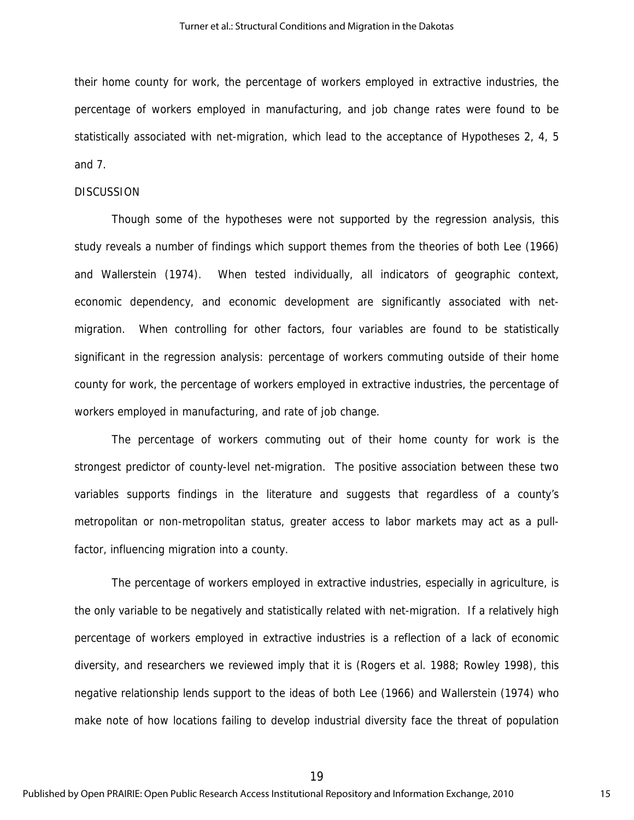their home county for work, the percentage of workers employed in extractive industries, the percentage of workers employed in manufacturing, and job change rates were found to be statistically associated with net-migration, which lead to the acceptance of Hypotheses 2, 4, 5 and 7.

#### **DISCUSSION**

Though some of the hypotheses were not supported by the regression analysis, this study reveals a number of findings which support themes from the theories of both Lee (1966) and Wallerstein (1974). When tested individually, all indicators of geographic context, economic dependency, and economic development are significantly associated with netmigration. When controlling for other factors, four variables are found to be statistically significant in the regression analysis: percentage of workers commuting outside of their home county for work, the percentage of workers employed in extractive industries, the percentage of workers employed in manufacturing, and rate of job change.

The percentage of workers commuting out of their home county for work is the strongest predictor of county-level net-migration. The positive association between these two variables supports findings in the literature and suggests that regardless of a county's metropolitan or non-metropolitan status, greater access to labor markets may act as a pullfactor, influencing migration into a county.

The percentage of workers employed in extractive industries, especially in agriculture, is the only variable to be negatively and statistically related with net-migration. If a relatively high percentage of workers employed in extractive industries is a reflection of a lack of economic diversity, and researchers we reviewed imply that it is (Rogers et al. 1988; Rowley 1998), this negative relationship lends support to the ideas of both Lee (1966) and Wallerstein (1974) who make note of how locations failing to develop industrial diversity face the threat of population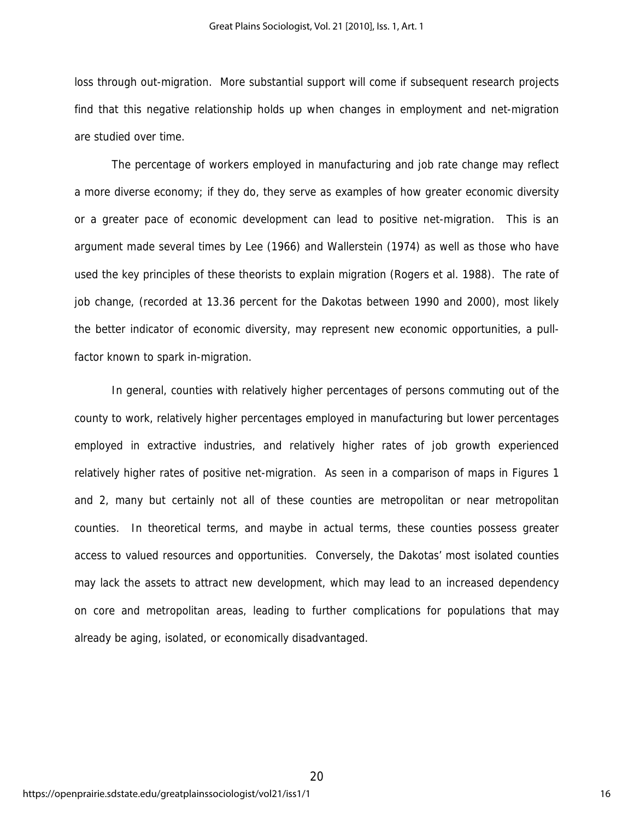loss through out-migration. More substantial support will come if subsequent research projects find that this negative relationship holds up when changes in employment and net-migration are studied over time.

The percentage of workers employed in manufacturing and job rate change may reflect a more diverse economy; if they do, they serve as examples of how greater economic diversity or a greater pace of economic development can lead to positive net-migration. This is an argument made several times by Lee (1966) and Wallerstein (1974) as well as those who have used the key principles of these theorists to explain migration (Rogers et al. 1988). The rate of job change, (recorded at 13.36 percent for the Dakotas between 1990 and 2000), most likely the better indicator of economic diversity, may represent new economic opportunities, a pullfactor known to spark in-migration.

In general, counties with relatively higher percentages of persons commuting out of the county to work, relatively higher percentages employed in manufacturing but lower percentages employed in extractive industries, and relatively higher rates of job growth experienced relatively higher rates of positive net-migration. As seen in a comparison of maps in Figures 1 and 2, many but certainly not all of these counties are metropolitan or near metropolitan counties. In theoretical terms, and maybe in actual terms, these counties possess greater access to valued resources and opportunities. Conversely, the Dakotas' most isolated counties may lack the assets to attract new development, which may lead to an increased dependency on core and metropolitan areas, leading to further complications for populations that may already be aging, isolated, or economically disadvantaged.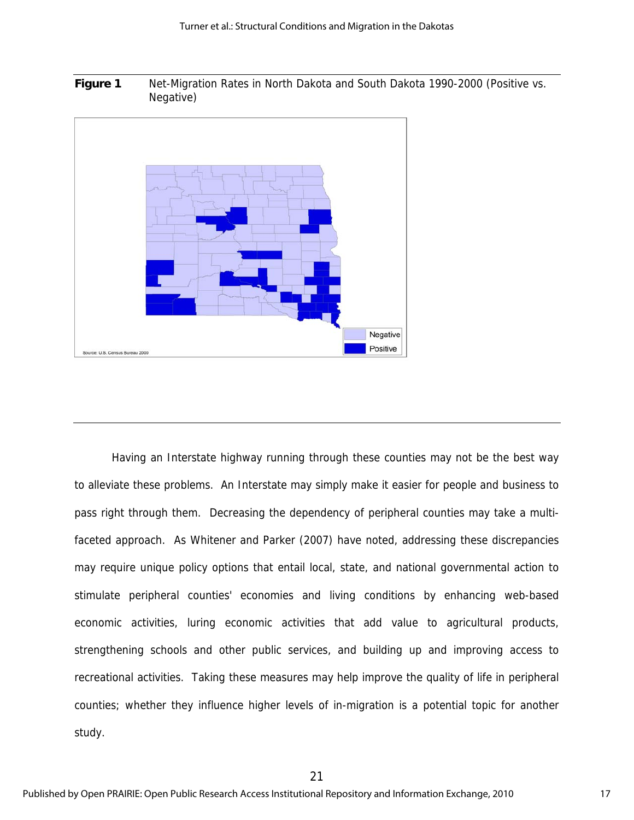**Figure 1** Net-Migration Rates in North Dakota and South Dakota 1990-2000 (Positive vs. Negative)



Having an Interstate highway running through these counties may not be the best way to alleviate these problems. An Interstate may simply make it easier for people and business to pass right through them. Decreasing the dependency of peripheral counties may take a multifaceted approach. As Whitener and Parker (2007) have noted, addressing these discrepancies may require unique policy options that entail local, state, and national governmental action to stimulate peripheral counties' economies and living conditions by enhancing web-based economic activities, luring economic activities that add value to agricultural products, strengthening schools and other public services, and building up and improving access to recreational activities. Taking these measures may help improve the quality of life in peripheral counties; whether they influence higher levels of in-migration is a potential topic for another study.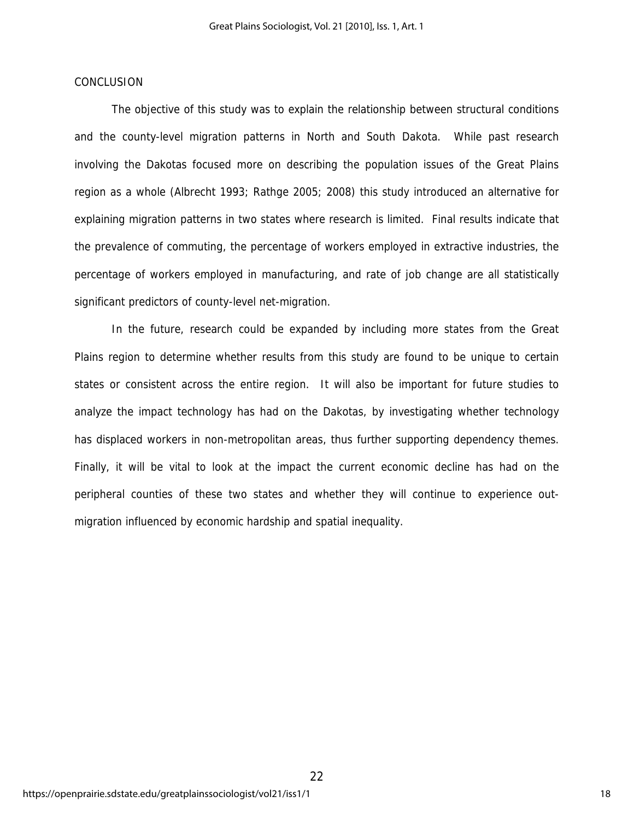## **CONCLUSION**

The objective of this study was to explain the relationship between structural conditions and the county-level migration patterns in North and South Dakota. While past research involving the Dakotas focused more on describing the population issues of the Great Plains region as a whole (Albrecht 1993; Rathge 2005; 2008) this study introduced an alternative for explaining migration patterns in two states where research is limited. Final results indicate that the prevalence of commuting, the percentage of workers employed in extractive industries, the percentage of workers employed in manufacturing, and rate of job change are all statistically significant predictors of county-level net-migration.

In the future, research could be expanded by including more states from the Great Plains region to determine whether results from this study are found to be unique to certain states or consistent across the entire region. It will also be important for future studies to analyze the impact technology has had on the Dakotas, by investigating whether technology has displaced workers in non-metropolitan areas, thus further supporting dependency themes. Finally, it will be vital to look at the impact the current economic decline has had on the peripheral counties of these two states and whether they will continue to experience outmigration influenced by economic hardship and spatial inequality.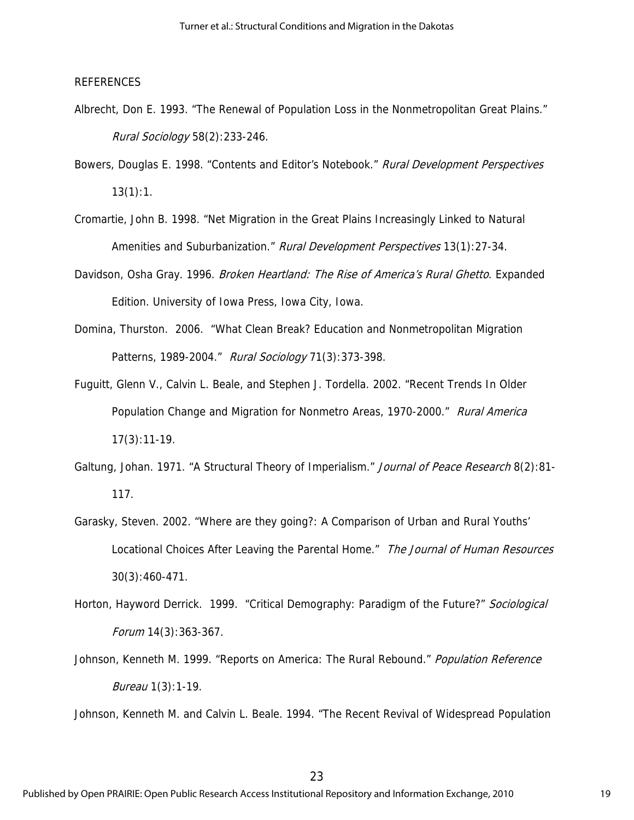#### REFERENCES

- Albrecht, Don E. 1993. "The Renewal of Population Loss in the Nonmetropolitan Great Plains." Rural Sociology 58(2):233-246.
- Bowers, Douglas E. 1998. "Contents and Editor's Notebook." Rural Development Perspectives  $13(1):1$ .
- Cromartie, John B. 1998. "Net Migration in the Great Plains Increasingly Linked to Natural Amenities and Suburbanization." Rural Development Perspectives 13(1):27-34.
- Davidson, Osha Gray. 1996. Broken Heartland: The Rise of America's Rural Ghetto. Expanded Edition. University of Iowa Press, Iowa City, Iowa.
- Domina, Thurston. 2006. "What Clean Break? Education and Nonmetropolitan Migration Patterns, 1989-2004." Rural Sociology 71(3):373-398.
- Fuguitt, Glenn V., Calvin L. Beale, and Stephen J. Tordella. 2002. "Recent Trends In Older Population Change and Migration for Nonmetro Areas, 1970-2000." Rural America 17(3):11-19.
- Galtung, Johan. 1971. "A Structural Theory of Imperialism." Journal of Peace Research 8(2):81-117.
- Garasky, Steven. 2002. "Where are they going?: A Comparison of Urban and Rural Youths' Locational Choices After Leaving the Parental Home." The Journal of Human Resources 30(3):460-471.
- Horton, Hayword Derrick. 1999. "Critical Demography: Paradigm of the Future?" Sociological Forum 14(3):363-367.
- Johnson, Kenneth M. 1999. "Reports on America: The Rural Rebound." *Population Reference* Bureau 1(3):1-19.

Johnson, Kenneth M. and Calvin L. Beale. 1994. "The Recent Revival of Widespread Population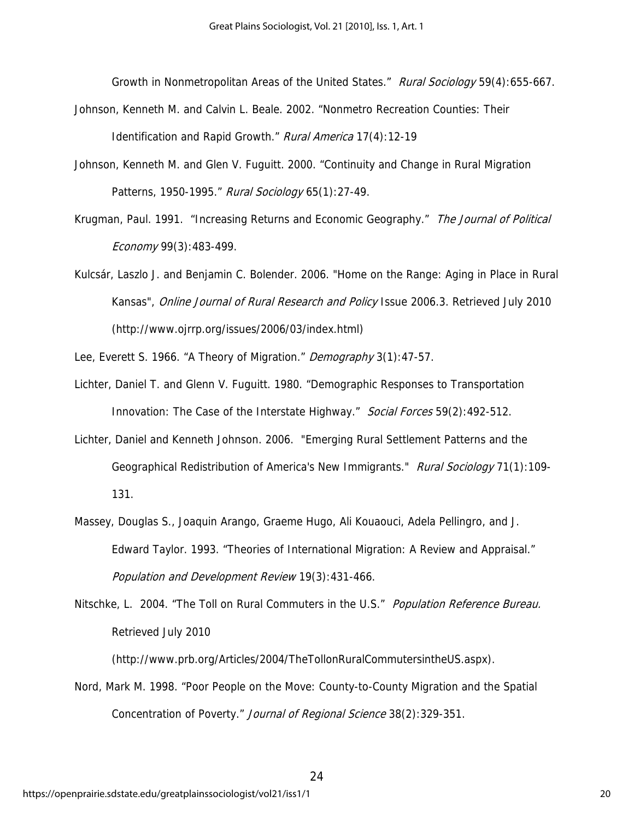Growth in Nonmetropolitan Areas of the United States." Rural Sociology 59(4):655-667.

- Johnson, Kenneth M. and Calvin L. Beale. 2002. "Nonmetro Recreation Counties: Their Identification and Rapid Growth." Rural America 17(4):12-19
- Johnson, Kenneth M. and Glen V. Fuguitt. 2000. "Continuity and Change in Rural Migration Patterns, 1950-1995." Rural Sociology 65(1):27-49.
- Krugman, Paul. 1991. "Increasing Returns and Economic Geography." The Journal of Political Economy 99(3):483-499.
- Kulcsár, Laszlo J. and Benjamin C. Bolender. 2006. "Home on the Range: Aging in Place in Rural Kansas", Online Journal of Rural Research and Policy Issue 2006.3. Retrieved July 2010 (http://www.ojrrp.org/issues/2006/03/index.html)
- Lee, Everett S. 1966. "A Theory of Migration." Demography 3(1):47-57.
- Lichter, Daniel T. and Glenn V. Fuguitt. 1980. "Demographic Responses to Transportation Innovation: The Case of the Interstate Highway." Social Forces 59(2):492-512.
- Lichter, Daniel and Kenneth Johnson. 2006. "Emerging Rural Settlement Patterns and the Geographical Redistribution of America's New Immigrants." Rural Sociology 71(1):109-131.
- Massey, Douglas S., Joaquin Arango, Graeme Hugo, Ali Kouaouci, Adela Pellingro, and J. Edward Taylor. 1993. "Theories of International Migration: A Review and Appraisal." Population and Development Review 19(3):431-466.
- Nitschke, L. 2004. "The Toll on Rural Commuters in the U.S." Population Reference Bureau. Retrieved July 2010

(http://www.prb.org/Articles/2004/TheTollonRuralCommutersintheUS.aspx).

Nord, Mark M. 1998. "Poor People on the Move: County-to-County Migration and the Spatial Concentration of Poverty." Journal of Regional Science 38(2):329-351.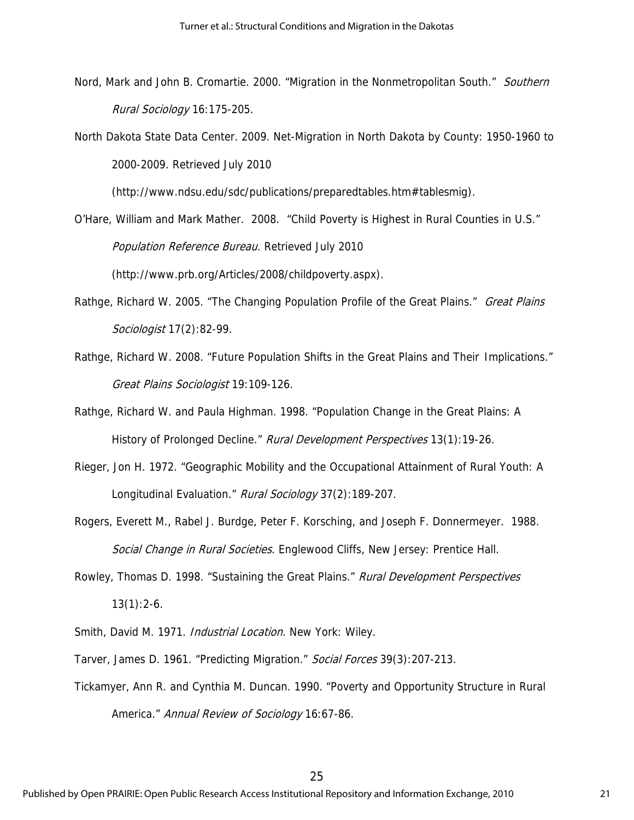- Nord, Mark and John B. Cromartie. 2000. "Migration in the Nonmetropolitan South." Southern Rural Sociology 16:175-205.
- North Dakota State Data Center. 2009. Net-Migration in North Dakota by County: 1950-1960 to 2000-2009. Retrieved July 2010

(http://www.ndsu.edu/sdc/publications/preparedtables.htm#tablesmig).

O'Hare, William and Mark Mather. 2008. "Child Poverty is Highest in Rural Counties in U.S." Population Reference Bureau. Retrieved July 2010 (http://www.prb.org/Articles/2008/childpoverty.aspx).

- Rathge, Richard W. 2005. "The Changing Population Profile of the Great Plains." Great Plains Sociologist 17(2):82-99.
- Rathge, Richard W. 2008. "Future Population Shifts in the Great Plains and Their Implications." Great Plains Sociologist 19:109-126.
- Rathge, Richard W. and Paula Highman. 1998. "Population Change in the Great Plains: A History of Prolonged Decline." Rural Development Perspectives 13(1):19-26.
- Rieger, Jon H. 1972. "Geographic Mobility and the Occupational Attainment of Rural Youth: A Longitudinal Evaluation." Rural Sociology 37(2):189-207.
- Rogers, Everett M., Rabel J. Burdge, Peter F. Korsching, and Joseph F. Donnermeyer. 1988. Social Change in Rural Societies. Englewood Cliffs, New Jersey: Prentice Hall.
- Rowley, Thomas D. 1998. "Sustaining the Great Plains." Rural Development Perspectives  $13(1):2-6.$
- Smith, David M. 1971. Industrial Location. New York: Wiley.
- Tarver, James D. 1961. "Predicting Migration." Social Forces 39(3):207-213.
- Tickamyer, Ann R. and Cynthia M. Duncan. 1990. "Poverty and Opportunity Structure in Rural America." Annual Review of Sociology 16:67-86.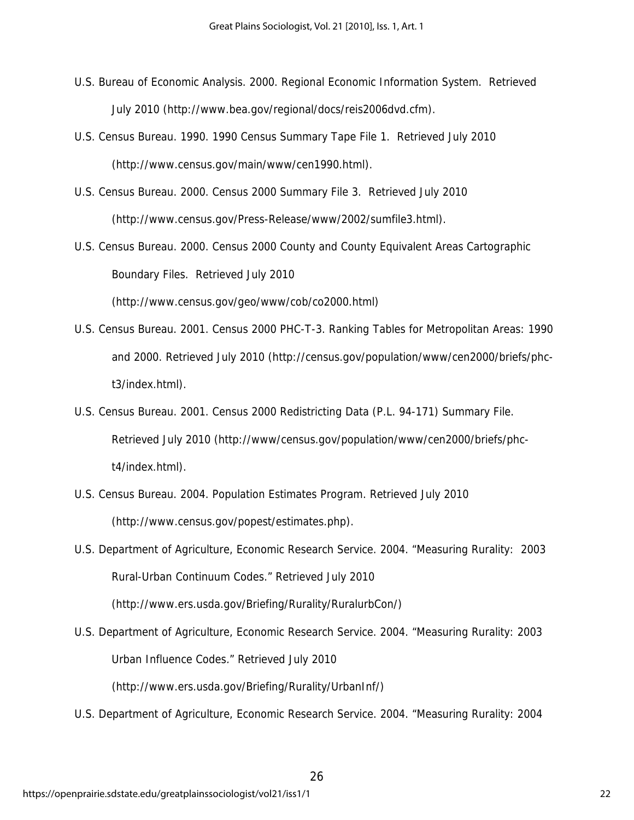- U.S. Bureau of Economic Analysis. 2000. Regional Economic Information System. Retrieved July 2010 (http://www.bea.gov/regional/docs/reis2006dvd.cfm).
- U.S. Census Bureau. 1990. 1990 Census Summary Tape File 1. Retrieved July 2010 (http://www.census.gov/main/www/cen1990.html).
- U.S. Census Bureau. 2000. Census 2000 Summary File 3. Retrieved July 2010 (http://www.census.gov/Press-Release/www/2002/sumfile3.html).
- U.S. Census Bureau. 2000. Census 2000 County and County Equivalent Areas Cartographic Boundary Files. Retrieved July 2010

(http://www.census.gov/geo/www/cob/co2000.html)

- U.S. Census Bureau. 2001. Census 2000 PHC-T-3. Ranking Tables for Metropolitan Areas: 1990 and 2000. Retrieved July 2010 (http://census.gov/population/www/cen2000/briefs/phct3/index.html).
- U.S. Census Bureau. 2001. Census 2000 Redistricting Data (P.L. 94-171) Summary File. Retrieved July 2010 (http://www/census.gov/population/www/cen2000/briefs/phct4/index.html).
- U.S. Census Bureau. 2004. Population Estimates Program. Retrieved July 2010 (http://www.census.gov/popest/estimates.php).
- U.S. Department of Agriculture, Economic Research Service. 2004. "Measuring Rurality: 2003 Rural-Urban Continuum Codes." Retrieved July 2010

(http://www.ers.usda.gov/Briefing/Rurality/RuralurbCon/)

U.S. Department of Agriculture, Economic Research Service. 2004. "Measuring Rurality: 2003 Urban Influence Codes." Retrieved July 2010

(http://www.ers.usda.gov/Briefing/Rurality/UrbanInf/)

U.S. Department of Agriculture, Economic Research Service. 2004. "Measuring Rurality: 2004